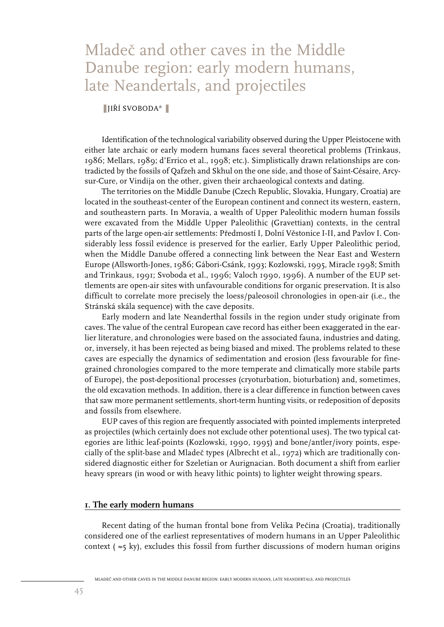# Mladeč and other caves in the Middle Danube region: early modern humans, late Neandertals, and projectiles

#### ■ JIŘÍ SVOBODA\* ■

Identification of the technological variability observed during the Upper Pleistocene with either late archaic or early modern humans faces several theoretical problems (Trinkaus, 1986; Mellars, 1989; d'Errico et al., 1998; etc.). Simplistically drawn relationships are contradicted by the fossils of Qafzeh and Skhul on the one side, and those of Saint-Césaire, Arcysur-Cure, or Vindija on the other, given their archaeological contexts and dating.

The territories on the Middle Danube (Czech Republic, Slovakia, Hungary, Croatia) are located in the southeast-center of the European continent and connect its western, eastern, and southeastern parts. In Moravia, a wealth of Upper Paleolithic modern human fossils were excavated from the Middle Upper Paleolithic (Gravettian) contexts, in the central parts of the large open-air settlements: Předmostí I, Dolní Věstonice I-II, and Pavlov I. Considerably less fossil evidence is preserved for the earlier, Early Upper Paleolithic period, when the Middle Danube offered a connecting link between the Near East and Western Europe (Allsworth-Jones, 1986; Gábori-Csánk, 1993; Kozlowski, 1995, Miracle 1998; Smith and Trinkaus, 1991; Svoboda et al., 1996; Valoch 1990, 1996). A number of the EUP settlements are open-air sites with unfavourable conditions for organic preservation. It is also difficult to correlate more precisely the loess/paleosoil chronologies in open-air (i.e., the Stránská skála sequence) with the cave deposits.

Early modern and late Neanderthal fossils in the region under study originate from caves. The value of the central European cave record has either been exaggerated in the earlier literature, and chronologies were based on the associated fauna, industries and dating, or, inversely, it has been rejected as being biased and mixed. The problems related to these caves are especially the dynamics of sedimentation and erosion (less favourable for finegrained chronologies compared to the more temperate and climatically more stabile parts of Europe), the post-depositional processes (cryoturbation, bioturbation) and, sometimes, the old excavation methods. In addition, there is a clear difference in function between caves that saw more permanent settlements, short-term hunting visits, or redeposition of deposits and fossils from elsewhere.

EUP caves of this region are frequently associated with pointed implements interpreted as projectiles (which certainly does not exclude other potentional uses). The two typical categories are lithic leaf-points (Kozlowski, 1990, 1995) and bone/antler/ivory points, especially of the split-base and Mladeč types (Albrecht et al., 1972) which are traditionally considered diagnostic either for Szeletian or Aurignacian. Both document a shift from earlier heavy sprears (in wood or with heavy lithic points) to lighter weight throwing spears.

## **1. The early modern humans**

Recent dating of the human frontal bone from Velika Pečina (Croatia), traditionally considered one of the earliest representatives of modern humans in an Upper Paleolithic context ( ≈5 ky), excludes this fossil from further discussions of modern human origins

MLADEC AND OTHER CAVES IN THE MIDDLE DANUBE REGION: EARLY MODERN HUMANS, LATE NEANDERTALS, AND PROJECTILES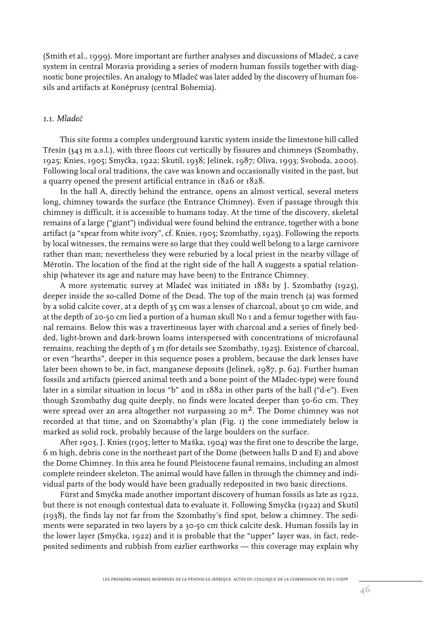$(Smith et al., 1999)$ . More important are further analyses and discussions of Mladeč, a cave system in central Moravia providing a series of modern human fossils together with diagnostic bone projectiles. An analogy to Mladeč was later added by the discovery of human fossils and artifacts at Koněprusy (central Bohemia).

## *1.1. Mladeˇc*

This site forms a complex underground karstic system inside the limestone hill called Třesín (343 m a.s.l.), with three floors cut vertically by fissures and chimneys (Szombathy, 1925; Knies, 1905; Smycka, 1922; Skutil, 1938; Jelínek, 1987; Oliva, 1993; Svoboda, 2000). ˇ Following local oral traditions, the cave was known and occasionally visited in the past, but a quarry opened the present artificial entrance in 1826 or 1828.

In the hall A, directly behind the entrance, opens an almost vertical, several meters long, chimney towards the surface (the Entrance Chimney). Even if passage through this chimney is difficult, it is accessible to humans today. At the time of the discovery, skeletal remains of a large ("giant") individual were found behind the entrance, together with a bone artifact (a "spear from white ivory", cf. Knies, 1905; Szombathy, 1925). Following the reports by local witnesses, the remains were so large that they could well belong to a large carnivore rather than man; nevertheless they were reburied by a local priest in the nearby village of Měrotín. The location of the find at the right side of the hall A suggests a spatial relationship (whatever its age and nature may have been) to the Entrance Chimney.

A more systematic survey at Mladeč was initiated in 1881 by J. Szombathy (1925), deeper inside the so-called Dome of the Dead. The top of the main trench (a) was formed by a solid calcite cover, at a depth of 35 cm was a lenses of charcoal, about 50 cm wide, and at the depth of 20-50 cm lied a portion of a human skull No 1 and a femur together with faunal remains. Below this was a travertineous layer with charcoal and a series of finely bedded, light-brown and dark-brown loams interspersed with concentrations of microfaunal remains, reaching the depth of 3 m (for details see Szombathy, 1925). Existence of charcoal, or even "hearths", deeper in this sequence poses a problem, because the dark lenses have later been shown to be, in fact, manganese deposits (Jelínek, 1987, p. 62). Further human fossils and artifacts (pierced animal teeth and a bone point of the Mladec-type) were found later in a similar situation in locus "b" and in 1882 in other parts of the hall ("d-e"). Even though Szombathy dug quite deeply, no finds were located deeper than 50-60 cm. They were spread over an area altogether not surpassing 20  $m<sup>2</sup>$ . The Dome chimney was not recorded at that time, and on Szomabthy's plan (Fig. 1) the cone immediately below is marked as solid rock, probably because of the large boulders on the surface.

After 1903, J. Knies (1905; letter to Maška, 1904) was the first one to describe the large, 6 m high, debris cone in the northeast part of the Dome (between halls D and E) and above the Dome Chimney. In this area he found Pleistocene faunal remains, including an almost complete reindeer skeleton. The animal would have fallen in through the chimney and individual parts of the body would have been gradually redeposited in two basic directions.

Fürst and Smyčka made another important discovery of human fossils as late as 1922, but there is not enough contextual data to evaluate it. Following Smyčka (1922) and Skutil (1938), the finds lay not far from the Szombathy's find spot, below a chimney. The sediments were separated in two layers by a 30-50 cm thick calcite desk. Human fossils lay in the lower layer (Smyčka, 1922) and it is probable that the "upper" layer was, in fact, redeposited sediments and rubbish from earlier earthworks — this coverage may explain why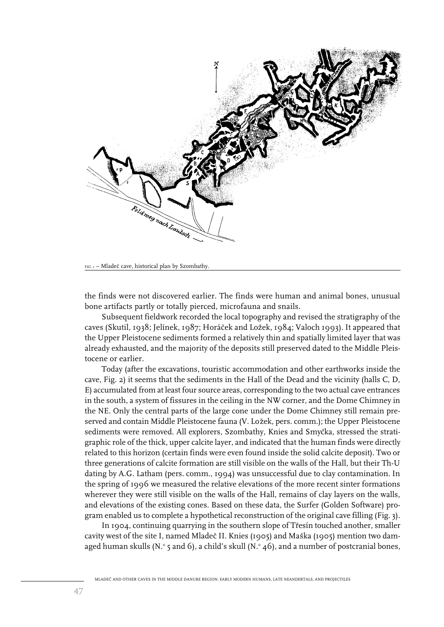

FIG. 1 – Mladeč cave, historical plan by Szombathy.

the finds were not discovered earlier. The finds were human and animal bones, unusual bone artifacts partly or totally pierced, microfauna and snails.

Subsequent fieldwork recorded the local topography and revised the stratigraphy of the caves (Skutil, 1938; Jelínek, 1987; Horáček and Ložek, 1984; Valoch 1993). It appeared that the Upper Pleistocene sediments formed a relatively thin and spatially limited layer that was already exhausted, and the majority of the deposits still preserved dated to the Middle Pleistocene or earlier.

Today (after the excavations, touristic accommodation and other earthworks inside the cave, Fig. 2) it seems that the sediments in the Hall of the Dead and the vicinity (halls C, D, E) accumulated from at least four source areas, corresponding to the two actual cave entrances in the south, a system of fissures in the ceiling in the NW corner, and the Dome Chimney in the NE. Only the central parts of the large cone under the Dome Chimney still remain preserved and contain Middle Pleistocene fauna (V. Ložek, pers. comm.); the Upper Pleistocene sediments were removed. All explorers, Szombathy, Knies and Smyčka, stressed the stratigraphic role of the thick, upper calcite layer, and indicated that the human finds were directly related to this horizon (certain finds were even found inside the solid calcite deposit). Two or three generations of calcite formation are still visible on the walls of the Hall, but their Th-U dating by A.G. Latham (pers. comm., 1994) was unsuccessful due to clay contamination. In the spring of 1996 we measured the relative elevations of the more recent sinter formations wherever they were still visible on the walls of the Hall, remains of clay layers on the walls, and elevations of the existing cones. Based on these data, the Surfer (Golden Software) program enabled us to complete a hypothetical reconstruction of the original cave filling (Fig. 3).

In 1904, continuing quarrying in the southern slope of Třesín touched another, smaller cavity west of the site I, named Mladeč II. Knies (1905) and Maška (1905) mention two damaged human skulls (N. $\degree$ 5 and 6), a child's skull (N. $\degree$ 46), and a number of postcranial bones,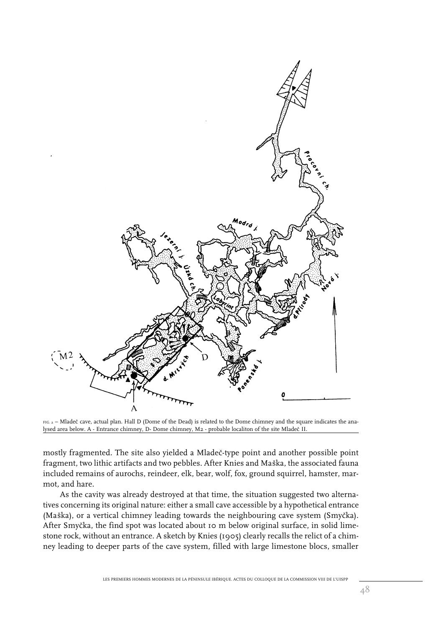

FIG. 2 - Mladeč cave, actual plan. Hall D (Dome of the Dead) is related to the Dome chimney and the square indicates the analysed area below. A - Entrance chimney, D- Dome chimney, M2 - probable localiton of the site Mladeč II.

mostly fragmented. The site also yielded a Mladeč-type point and another possible point fragment, two lithic artifacts and two pebbles. After Knies and Maška, the associated fauna included remains of aurochs, reindeer, elk, bear, wolf, fox, ground squirrel, hamster, marmot*,* and hare.

As the cavity was already destroyed at that time, the situation suggested two alternatives concerning its original nature: either a small cave accessible by a hypothetical entrance (Maška), or a vertical chimney leading towards the neighbouring cave system (Smyčka). After Smyčka, the find spot was located about 10 m below original surface, in solid limestone rock, without an entrance. A sketch by Knies (1905) clearly recalls the relict of a chimney leading to deeper parts of the cave system, filled with large limestone blocs, smaller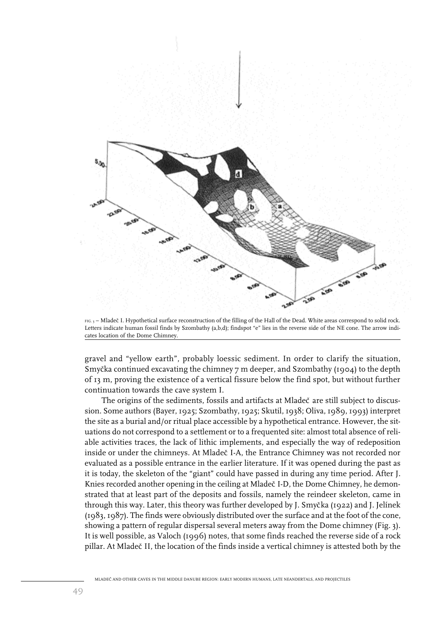

FIG. 3 - Mladeč I. Hypothetical surface reconstruction of the filling of the Hall of the Dead. White areas correspond to solid rock. Letters indicate human fossil finds by Szombathy (a,b,d); findspot "e" lies in the reverse side of the NE cone. The arrow indicates location of the Dome Chimney.

gravel and "yellow earth", probably loessic sediment. In order to clarify the situation, Smyčka continued excavating the chimney  $7$  m deeper, and Szombathy (1904) to the depth of 13 m, proving the existence of a vertical fissure below the find spot, but without further continuation towards the cave system I.

The origins of the sediments, fossils and artifacts at Mladeč are still subject to discussion. Some authors (Bayer, 1925; Szombathy, 1925; Skutil, 1938; Oliva, 1989, 1993) interpret the site as a burial and/or ritual place accessible by a hypothetical entrance. However, the situations do not correspond to a settlement or to a frequented site: almost total absence of reliable activities traces, the lack of lithic implements, and especially the way of redeposition inside or under the chimneys. At Mladeč I-A, the Entrance Chimney was not recorded nor evaluated as a possible entrance in the earlier literature. If it was opened during the past as it is today, the skeleton of the "giant" could have passed in during any time period. After J. Knies recorded another opening in the ceiling at Mladeč I-D, the Dome Chimney, he demonstrated that at least part of the deposits and fossils, namely the reindeer skeleton, came in through this way. Later, this theory was further developed by J. Smyčka (1922) and J. Jelínek (1983, 1987). The finds were obviously distributed over the surface and at the foot of the cone, showing a pattern of regular dispersal several meters away from the Dome chimney (Fig. 3). It is well possible, as Valoch (1996) notes, that some finds reached the reverse side of a rock pillar. At Mladeč II, the location of the finds inside a vertical chimney is attested both by the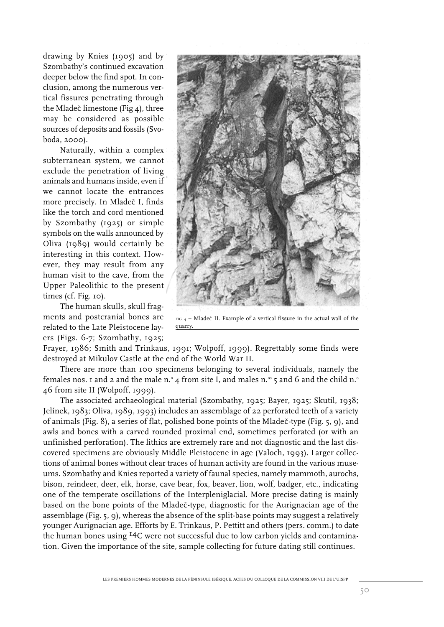drawing by Knies (1905) and by Szombathy's continued excavation deeper below the find spot. In conclusion, among the numerous vertical fissures penetrating through the Mladeč limestone (Fig  $_4$ ), three may be considered as possible sources of deposits and fossils (Svoboda, 2000).

Naturally, within a complex subterranean system, we cannot exclude the penetration of living animals and humans inside, even if we cannot locate the entrances more precisely. In Mladeč I, finds like the torch and cord mentioned by Szombathy (1925) or simple symbols on the walls announced by Oliva (1989) would certainly be interesting in this context. However, they may result from any human visit to the cave, from the Upper Paleolithic to the present times (cf. Fig. 10).

The human skulls, skull fragments and postcranial bones are related to the Late Pleistocene layers (Figs. 6-7; Szombathy, 1925;



 $FIG. 4 - Mladeč II. Example of a vertical fissure in the actual wall of the$ quarry.

Frayer, 1986; Smith and Trinkaus, 1991; Wolpoff, 1999). Regrettably some finds were destroyed at Mikulov Castle at the end of the World War II.

There are more than 100 specimens belonging to several individuals, namely the females nos. 1 and 2 and the male n. $\degree$  4 from site I, and males n. $\degree$  5 and 6 and the child n. $\degree$ 46 from site II (Wolpoff, 1999).

The associated archaeological material (Szombathy, 1925; Bayer, 1925; Skutil, 1938; Jelínek, 1983; Oliva, 1989, 1993) includes an assemblage of 22 perforated teeth of a variety of animals (Fig. 8), a series of flat, polished bone points of the Mladeč-type (Fig. 5, 9), and awls and bones with a carved rounded proximal end, sometimes perforated (or with an unfinished perforation). The lithics are extremely rare and not diagnostic and the last discovered specimens are obviously Middle Pleistocene in age (Valoch, 1993). Larger collections of animal bones without clear traces of human activity are found in the various museums. Szombathy and Knies reported a variety of faunal species, namely mammoth, aurochs, bison, reindeer, deer, elk, horse, cave bear, fox, beaver, lion, wolf, badger, etc., indicating one of the temperate oscillations of the Interpleniglacial. More precise dating is mainly based on the bone points of the Mladeč-type, diagnostic for the Aurignacian age of the assemblage (Fig. 5, 9), whereas the absence of the split-base points may suggest a relatively younger Aurignacian age. Efforts by E. Trinkaus, P. Pettitt and others (pers. comm.) to date the human bones using <sup>14</sup>C were not successful due to low carbon yields and contamination. Given the importance of the site, sample collecting for future dating still continues.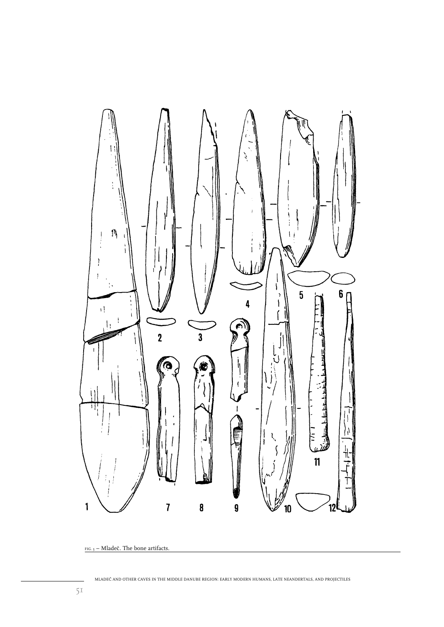

 $_{\rm{FIG. 5}}$  – Mladeč. The bone artifacts.

MLADEC̆ AND OTHER CAVES IN THE MIDDLE DANUBE REGION: EARLY MODERN HUMANS, LATE NEANDERTALS, AND PROJECTILES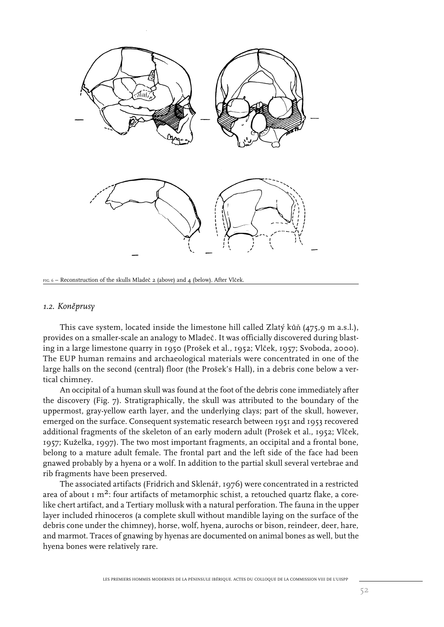

FIG. 6 – Reconstruction of the skulls Mladeč 2 (above) and 4 (below). After Vlček

#### 1.2. Koněprusy

This cave system, located inside the limestone hill called Zlaty´ kun̆  $(475,9 \text{ m a.s.}$ ].), provides on a smaller-scale an analogy to Mladeč. It was officially discovered during blasting in a large limestone quarry in 1950 (Prošek et al., 1952; Vlček, 1957; Svoboda, 2000). The EUP human remains and archaeological materials were concentrated in one of the large halls on the second (central) floor (the Prošek's Hall), in a debris cone below a vertical chimney.

An occipital of a human skull was found at the foot of the debris cone immediately after the discovery (Fig. 7). Stratigraphically, the skull was attributed to the boundary of the uppermost, gray-yellow earth layer, and the underlying clays; part of the skull, however, emerged on the surface. Consequent systematic research between 1951 and 1953 recovered additional fragments of the skeleton of an early modern adult (Prošek et al., 1952; Vlček, 1957; Kuželka, 1997). The two most important fragments, an occipital and a frontal bone, belong to a mature adult female. The frontal part and the left side of the face had been gnawed probably by a hyena or a wolf. In addition to the partial skull several vertebrae and rib fragments have been preserved.

The associated artifacts (Fridrich and Sklenář, 1976) were concentrated in a restricted area of about  $1 \text{ m}^2$ : four artifacts of metamorphic schist, a retouched quartz flake, a corelike chert artifact, and a Tertiary mollusk with a natural perforation. The fauna in the upper layer included rhinoceros (a complete skull without mandible laying on the surface of the debris cone under the chimney), horse, wolf, hyena, aurochs or bison, reindeer, deer, hare, and marmot. Traces of gnawing by hyenas are documented on animal bones as well, but the hyena bones were relatively rare.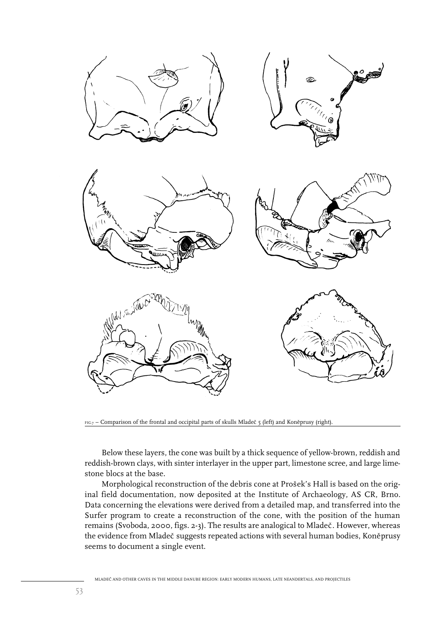

FIG.7 – Comparison of the frontal and occipital parts of skulls Mladeč 5 (left) and Koněprusy (right).

Below these layers, the cone was built by a thick sequence of yellow-brown, reddish and reddish-brown clays, with sinter interlayer in the upper part, limestone scree, and large limestone blocs at the base.

Morphological reconstruction of the debris cone at Prošek's Hall is based on the original field documentation, now deposited at the Institute of Archaeology, AS CR, Brno. Data concerning the elevations were derived from a detailed map, and transferred into the Surfer program to create a reconstruction of the cone, with the position of the human remains (Svoboda, 2000, figs. 2-3). The results are analogical to Mladeč. However, whereas the evidence from Mladeč suggests repeated actions with several human bodies, Koněprusy seems to document a single event.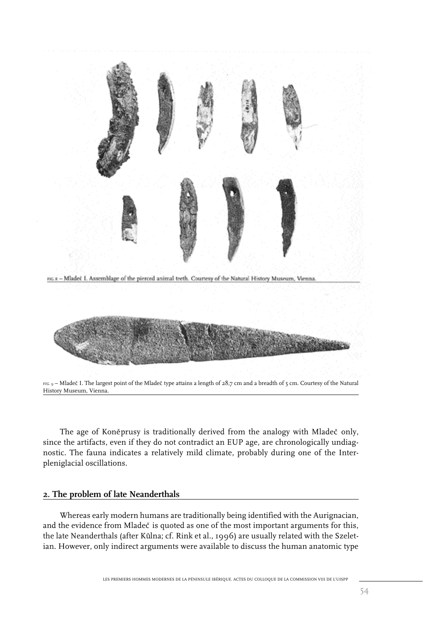

The age of Koněprusy is traditionally derived from the analogy with Mladeč only, since the artifacts, even if they do not contradict an EUP age, are chronologically undiagnostic. The fauna indicates a relatively mild climate, probably during one of the Interpleniglacial oscillations.

## **2. The problem of late Neanderthals**

Whereas early modern humans are traditionally being identified with the Aurignacian, and the evidence from Mladeč is quoted as one of the most important arguments for this, the late Neanderthals (after Kůlna; cf. Rink et al., 1996) are usually related with the Szeletian. However, only indirect arguments were available to discuss the human anatomic type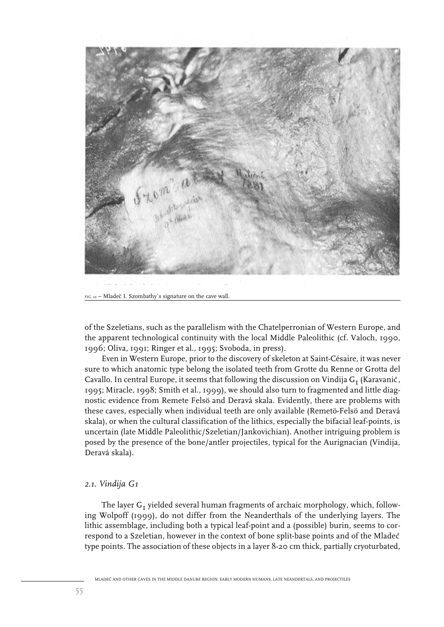

of the Szeletians, such as the parallelism with the Chatelperronian of Western Europe, and the apparent technological continuity with the local Middle Paleolithic (cf. Valoch, 1990, 1996; Oliva, 1991; Ringer et al., 1995; Svoboda, in press).

Even in Western Europe, prior to the discovery of skeleton at Saint-Césaire, it was never sure to which anatomic type belong the isolated teeth from Grotte du Renne or Grotta del Cavallo. In central Europe, it seems that following the discussion on Vindija  $G<sub>r</sub>$  (Karavanič, 1995; Miracle, 1998; Smith et al., 1999), we should also turn to fragmented and little diagnostic evidence from Remete Felsö and Deravá skala. Evidently, there are problems with these caves, especially when individual teeth are only available (Remetö-Felsö and Deravá skala), or when the cultural classification of the lithics, especially the bifacial leaf-points, is uncertain (late Middle Paleolithic/Szeletian/Jankovichian). Another intriguing problem is posed by the presence of the bone/antler projectiles, typical for the Aurignacian (Vindija, Deravá skala).

## *2.1. Vindija G1*

The layer  $G_t$  yielded several human fragments of archaic morphology, which, following Wolpoff (1999), do not differ from the Neanderthals of the underlying layers. The lithic assemblage, including both a typical leaf-point and a (possible) burin, seems to correspond to a Szeletian, however in the context of bone split-base points and of the Mladeč type points. The association of these objects in a layer 8-20 cm thick, partially cryoturbated,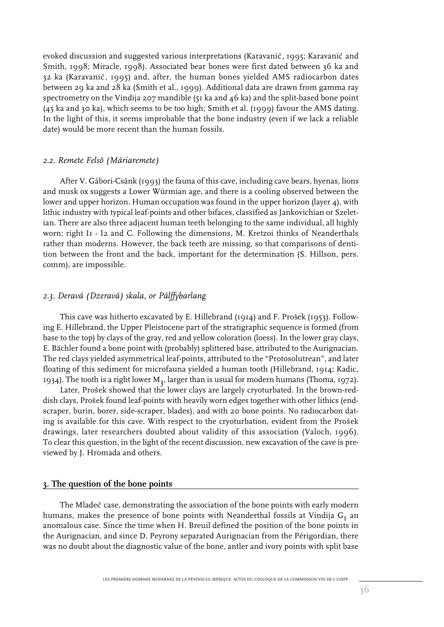evoked discussion and suggested various interpretations (Karavanič, 1995; Karavanič and Smith, 1998; Miracle, 1998). Associated bear bones were first dated between 36 ka and 32 ka (Karavanič, 1995) and, after, the human bones yielded AMS radiocarbon dates between 29 ka and 28 ka (Smith et al., 1999). Additional data are drawn from gamma ray spectrometry on the Vindija 207 mandible ( $51$  ka and  $46$  ka) and the split-based bone point (45 ka and 30 ka), which seems to be too high; Smith et al. (1999) favour the AMS dating. In the light of this, it seems improbable that the bone industry (even if we lack a reliable date) would be more recent than the human fossils.

#### *2.2. Remete Felsö (Máriaremete)*

After V. Gábori-Csánk (1993) the fauna of this cave, including cave bears, hyenas, lions and musk ox suggests a Lower Würmian age, and there is a cooling observed between the lower and upper horizon. Human occupation was found in the upper horizon (layer 4), with lithic industry with typical leaf-points and other bifaces, classified as Jankovichian or Szeletian. There are also three adjacent human teeth belonging to the same individual, all highly worn: right I1 - I2 and C. Following the dimensions, M. Kretzoi thinks of Neanderthals rather than moderns. However, the back teeth are missing, so that comparisons of dentition between the front and the back, important for the determination (S. Hillson, pers. comm), are impossible.

## *2.3. Deravá (Dzeravá) skala, or Pálffybarlang*

This cave was hitherto excavated by E. Hillebrand (1914) and F. Prošek (1953). Following E. Hillebrand, the Upper Pleistocene part of the stratigraphic sequence is formed (from base to the top) by clays of the gray, red and yellow coloration (loess). In the lower gray clays, E. Bächler found a bone point with (probably) splittered base, attributed to the Aurignacian. The red clays yielded asymmetrical leaf-points, attributed to the "Protosolutrean", and later floating of this sediment for microfauna yielded a human tooth (Hillebrand, 1914; Kadic, 1934). The tooth is a right lower  $M_3$ , larger than is usual for modern humans (Thoma, 1972).

Later, Prošek showed that the lower clays are largely cryoturbated. In the brown-reddish clays, Prošek found leaf-points with heavily worn edges together with other lithics (endscraper, burin, borer, side-scraper, blades), and with 20 bone points. No radiocarbon dating is available for this cave. With respect to the cryoturbation, evident from the Prošek drawings, later researchers doubted about validity of this association (Valoch, 1996). To clear this question, in the light of the recent discussion, new excavation of the cave is previewed by J. Hromada and others.

#### **3. The question of the bone points**

The Mladec<sup>\*</sup> case, demonstrating the association of the bone points with early modern humans, makes the presence of bone points with Neanderthal fossils at Vindija  $G<sub>I</sub>$  an anomalous case. Since the time when H. Breuil defined the position of the bone points in the Aurignacian, and since D. Peyrony separated Aurignacian from the Périgordian, there was no doubt about the diagnostic value of the bone, antler and ivory points with split base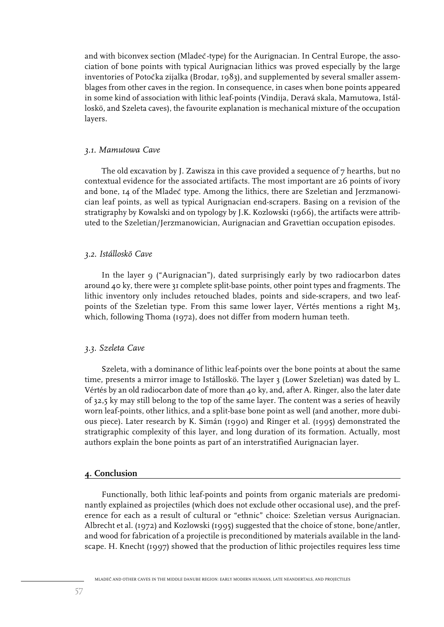and with biconvex section (Mladeč-type) for the Aurignacian. In Central Europe, the association of bone points with typical Aurignacian lithics was proved especially by the large inventories of Potočka zijalka (Brodar,  $1983$ ), and supplemented by several smaller assemblages from other caves in the region. In consequence, in cases when bone points appeared in some kind of association with lithic leaf-points (Vindija, Deravá skala, Mamutowa, Istálloskö, and Szeleta caves), the favourite explanation is mechanical mixture of the occupation layers.

#### *3.1. Mamutowa Cave*

The old excavation by J. Zawisza in this cave provided a sequence of 7 hearths, but no contextual evidence for the associated artifacts. The most important are 26 points of ivory and bone, 14 of the Mladeč type. Among the lithics, there are Szeletian and Jerzmanowician leaf points, as well as typical Aurignacian end-scrapers. Basing on a revision of the stratigraphy by Kowalski and on typology by J.K. Kozlowski (1966), the artifacts were attributed to the Szeletian/Jerzmanowician, Aurignacian and Gravettian occupation episodes.

#### *3.2. Istálloskö Cave*

In the layer 9 ("Aurignacian"), dated surprisingly early by two radiocarbon dates around 40 ky, there were 31 complete split-base points, other point types and fragments. The lithic inventory only includes retouched blades, points and side-scrapers, and two leafpoints of the Szeletian type. From this same lower layer, Vértés mentions a right M3, which, following Thoma (1972), does not differ from modern human teeth.

## *3.3. Szeleta Cave*

Szeleta, with a dominance of lithic leaf-points over the bone points at about the same time, presents a mirror image to Istálloskö. The layer 3 (Lower Szeletian) was dated by L. Vértés by an old radiocarbon date of more than 40 ky, and, after A. Ringer, also the later date of 32,5 ky may still belong to the top of the same layer. The content was a series of heavily worn leaf-points, other lithics, and a split-base bone point as well (and another, more dubious piece). Later research by K. Simán (1990) and Ringer et al. (1995) demonstrated the stratigraphic complexity of this layer, and long duration of its formation. Actually, most authors explain the bone points as part of an interstratified Aurignacian layer.

#### **4. Conclusion**

Functionally, both lithic leaf-points and points from organic materials are predominantly explained as projectiles (which does not exclude other occasional use), and the preference for each as a result of cultural or "ethnic" choice: Szeletian versus Aurignacian. Albrecht et al. (1972) and Kozlowski (1995) suggested that the choice of stone, bone/antler, and wood for fabrication of a projectile is preconditioned by materials available in the landscape. H. Knecht (1997) showed that the production of lithic projectiles requires less time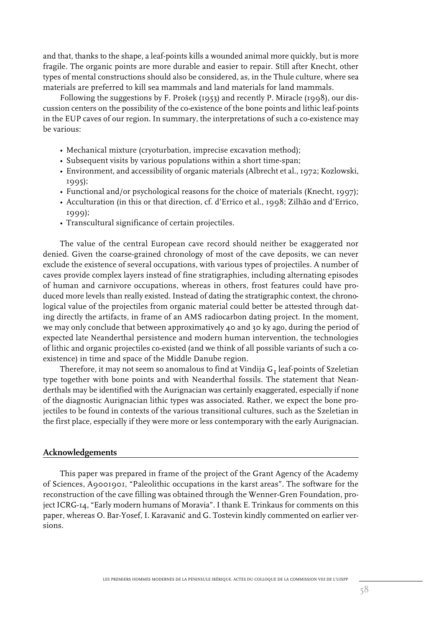and that, thanks to the shape, a leaf-points kills a wounded animal more quickly, but is more fragile. The organic points are more durable and easier to repair. Still after Knecht, other types of mental constructions should also be considered, as, in the Thule culture, where sea materials are preferred to kill sea mammals and land materials for land mammals.

Following the suggestions by F. Prošek (1953) and recently P. Miracle (1998), our discussion centers on the possibility of the co-existence of the bone points and lithic leaf-points in the EUP caves of our region. In summary, the interpretations of such a co-existence may be various:

- Mechanical mixture (cryoturbation, imprecise excavation method);
- Subsequent visits by various populations within a short time-span;
- Environment, and accessibility of organic materials (Albrecht et al., 1972; Kozlowski, 1995);
- Functional and/or psychological reasons for the choice of materials (Knecht, 1997);
- Acculturation (in this or that direction, cf. d'Errico et al., 1998; Zilhão and d'Errico, 1999);
- Transcultural significance of certain projectiles.

The value of the central European cave record should neither be exaggerated nor denied. Given the coarse-grained chronology of most of the cave deposits, we can never exclude the existence of several occupations, with various types of projectiles. A number of caves provide complex layers instead of fine stratigraphies, including alternating episodes of human and carnivore occupations, whereas in others, frost features could have produced more levels than really existed. Instead of dating the stratigraphic context, the chronological value of the projectiles from organic material could better be attested through dating directly the artifacts, in frame of an AMS radiocarbon dating project. In the moment, we may only conclude that between approximatively  $\mu$  and 30 ky ago, during the period of expected late Neanderthal persistence and modern human intervention, the technologies of lithic and organic projectiles co-existed (and we think of all possible variants of such a coexistence) in time and space of the Middle Danube region.

Therefore, it may not seem so anomalous to find at Vindija  $G<sub>r</sub>$  leaf-points of Szeletian type together with bone points and with Neanderthal fossils. The statement that Neanderthals may be identified with the Aurignacian was certainly exaggerated, especially if none of the diagnostic Aurignacian lithic types was associated. Rather, we expect the bone projectiles to be found in contexts of the various transitional cultures, such as the Szeletian in the first place, especially if they were more or less contemporary with the early Aurignacian.

## **Acknowledgements**

This paper was prepared in frame of the project of the Grant Agency of the Academy of Sciences, A9001901, "Paleolithic occupations in the karst areas". The software for the reconstruction of the cave filling was obtained through the Wenner-Gren Foundation, project ICRG-14, "Early modern humans of Moravia". I thank E. Trinkaus for comments on this paper, whereas O. Bar-Yosef, I. Karavanič and G. Tostevin kindly commented on earlier versions.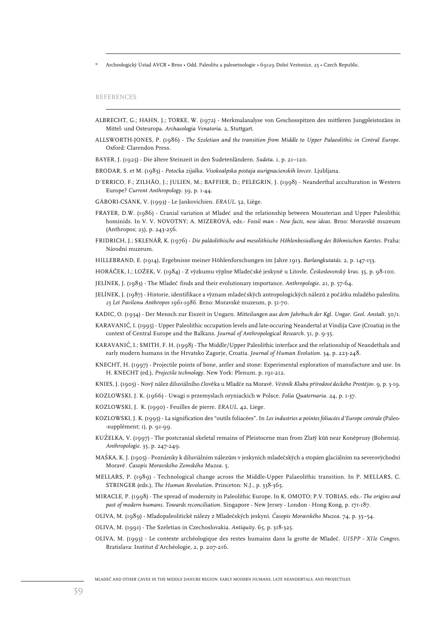Archeologický Ústad AVCR • Brno • Odd. Paleolitu a paleoetnologie • 69129 Dolní Vestonice, 25 • Czech Republic.

#### REFERENCES

- ALBRECHT, G.; HAHN, J.; TORKE, W. (1972) Merkmalanalyse von Geschosspitzen des mittleren Jungpleistozäns in Mittel- und Osteuropa. *Archaeologia Venatoria*. 2, Stuttgart.
- ALLSWORTH-JONES, P. (1986) *The Szeletian and the transition from Middle to Upper Palaeolithic in Central Europe*. Oxford: Clarendon Press.

BAYER, J. (1925) - Die ältere Steinzeit in den Sudetenländern. *Sudeta*. 1, p. 21–120.

- BRODAR, S. et M. (1983) *Potocˇka zijalka. Visokoalpska postaja aurignacienskih lovcev*. Ljubljana.
- D´ERRICO, F.; ZILHÃO, J.; JULIEN, M.; BAFFIER, D.; PELEGRIN, J. (1998) Neanderthal acculturation in Western Europe? *Current Anthropology*. 39, p. 1-44.
- GÁBORI-CSÁNK, V. (1993) Le Jankovichien. *ERAUL*. 52, Liège.
- FRAYER, D.W. (1986) Cranial variation at Mladeč and the relationship between Mousterian and Upper Paleolithic hominids. In V. V. NOVOTNY; A. MIZEROVÁ, eds.- *Fossil man - New facts, new ideas*. Brno: Moravské muzeum (Anthropos; 23), p. 243-256.
- FRIDRICH, J.; SKLENÁRˇ, K. (1976) *Die paläolithische and mesolithische Höhlenbesiedlung des Böhmischen Karstes*. Praha: Národní muzeum.
- HILLEBRAND, E. (1914), Ergebnisse meiner Höhlenforschungen im Jahre 1913. *Barlangkutatás*. 2, p. 147-153.
- HORÁČEK, I.; LOŽEK, V. (1984) Z výzkumu výplne Mladečské jeskyně u Litovle. *Československý kras.* 35, p. 98-100.
- JELÍNEK, J. (1983) The Mladecˇ finds and their evolutionary importance. *Anthropologie*. 21, p. 57-64.
- JELÍNEK, J. (1987) Historie, identifikace a význam mladečských antropologických nálezů z počátku mladého paleolitu. *25 Let Pavilonu Anthropos 1961-1986*. Brno: Moravské muzeum, p. 51-70.
- KADIC, O. (1934) Der Mensch zur Eiszeit in Ungarn. *Mitteilungen aus dem Jahrbuch der Kgl*. *Ungar. Geol. Anstalt*. 30/1.
- KARAVANIČ, I. (1995) Upper Paleolithic occupation levels and late-occuring Neandertal at Vindija Cave (Croatia) in the context of Central Europe and the Balkans. *Journal of Anthropological Research*. 51, p. 9-35.
- KARAVANIČ, I.; SMITH, F. H. (1998) The Middle/Upper Paleolithic interface and the relationship of Neandethals and early modern humans in the Hrvatsko Zagorje, Croatia. *Journal of Human Evolution*. 34, p. 223-248.
- KNECHT, H. (1997) Projectile points of bone, antler and stone: Experimental exploration of manufacture and use. In H. KNECHT (ed.), *Projectile technology*. New York: Plenum. p. 191-212.

KNIES, J. (1905) - Nový nález diluviálního člověka u Mladče na Moravě. Věstník Klubu přírodově deckého Prostějov. 9, p. 3-19.

- KOZLOWSKI, J. K. (1966) Uwagi o przemyslach oryniackich w Polsce. *Folia Quaternaria*. 24, p. 1-37.
- KOZLOWSKI, J. K. (1990) Feuilles de pierre. *ERAUL*. 42, Liege.
- KOZLOWSKI, J. K. (1995) La signification des "outils foliacées". In *Les industries a pointes foliacées d'Europe centrale* (Paleo- -supplément; 1), p. 91-99.
- KUŽELKA, V. (1997) The postcranial skeletal remains of Pleistocene man from Zlatý kůň near Koněprusy (Bohemia). *Anthropologie*. 35, p. 247-249.
- MAŠKA, K. J. (1905) Poznámky k diluviálním nálezům v jeskyních mladečských a stopám glaciálním na severovýchodní Moraveˇ. *Cˇasopis Moravského Zemského Muzea*. 5.
- MELLARS, P. (1989) Technological change across the Middle-Upper Palaeolithic transition. In P. MELLARS, C. STRINGER (eds.), *The Human Revolution*. Princeton: N.J., p. 338-365.
- MIRACLE, P. (1998) The spread of modernity in Paleolithic Europe. In K. OMOTO; P.V. TOBIAS, eds.- *The origins and past of modern humans. Towards reconciliation*. Singapore - New Jersey - London - Hong Kong, p. 171-187.
- OLIVA, M. (1989) Mladopaleolitické nálezy z Mladecˇsky´ch jeskyní. *Cˇasopis Moravského Muzea*. 74, p. 35–54.
- OLIVA, M. (1991) The Szeletian in Czechoslovakia. *Antiquity*. 65, p. 318-325.
- OLIVA, M. (1993) Le contexte archéologique des restes humains dans la grotte de Mladecˇ. *UISPP XIIe Congres*. Bratislava: Institut d'Archéologie, 2, p. 207-216.